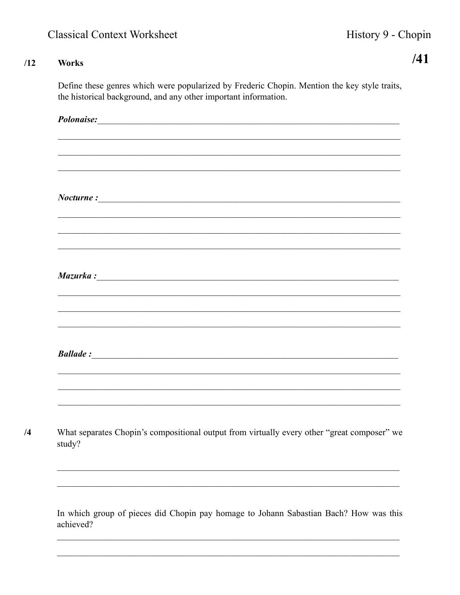$/41$ 

## $/12$ Works

 $/4$ 

Define these genres which were popularized by Frederic Chopin. Mention the key style traits, the historical background, and any other important information.

| Polonaise: Note and the contract of the contract of the contract of the contract of the contract of the contract of the contract of the contract of the contract of the contract of the contract of the contract of the contra           |
|------------------------------------------------------------------------------------------------------------------------------------------------------------------------------------------------------------------------------------------|
|                                                                                                                                                                                                                                          |
|                                                                                                                                                                                                                                          |
|                                                                                                                                                                                                                                          |
| $\textit{Noturne}:$                                                                                                                                                                                                                      |
|                                                                                                                                                                                                                                          |
|                                                                                                                                                                                                                                          |
| Mazurka:                                                                                                                                                                                                                                 |
|                                                                                                                                                                                                                                          |
|                                                                                                                                                                                                                                          |
|                                                                                                                                                                                                                                          |
| <b>Ballade</b> : <u>Containing</u> Containing Containing Containing Containing Containing Containing Containing Containing Containing Containing Containing Containing Containing Containing Containing Containing Containing Containing |
|                                                                                                                                                                                                                                          |
|                                                                                                                                                                                                                                          |
|                                                                                                                                                                                                                                          |
| What separates Chopin's compositional output from virtually every other "great composer" we<br>study?                                                                                                                                    |
|                                                                                                                                                                                                                                          |
|                                                                                                                                                                                                                                          |
| In which group of pieces did Chopin pay homage to Johann Sabastian Bach? How was this                                                                                                                                                    |
| achieved?                                                                                                                                                                                                                                |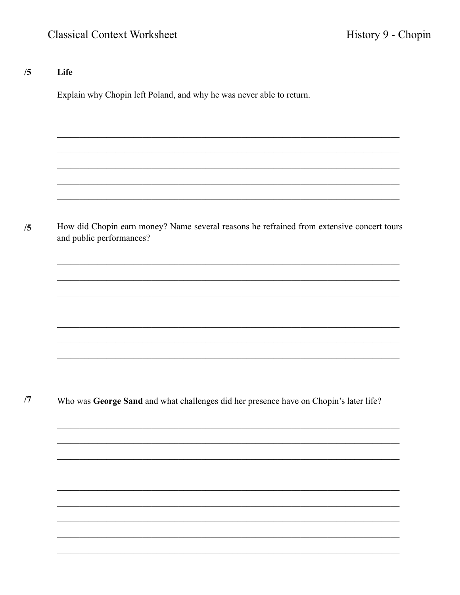## Life  $/5$

Explain why Chopin left Poland, and why he was never able to return.

How did Chopin earn money? Name several reasons he refrained from extensive concert tours  $/5$ and public performances?

 $/7$ Who was George Sand and what challenges did her presence have on Chopin's later life?